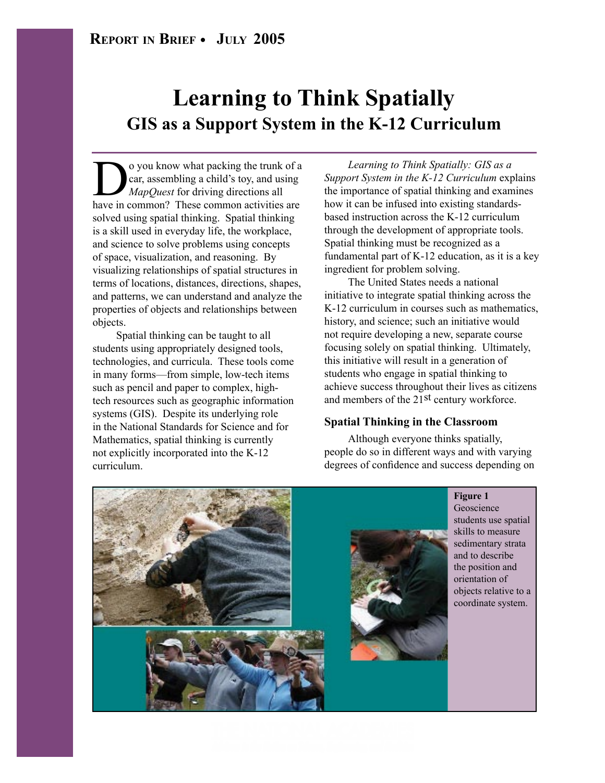# **Learning to Think Spatially GIS as a Support System in the K-12 Curriculum**

O you know what packing the trunk of a<br>car, assembling a child's toy, and using<br>*MapQuest* for driving directions all<br>have in common? These common activities are car, assembling a child's toy, and using *MapQuest* for driving directions all have in common? These common activities are solved using spatial thinking. Spatial thinking is a skill used in everyday life, the workplace, and science to solve problems using concepts of space, visualization, and reasoning. By visualizing relationships of spatial structures in terms of locations, distances, directions, shapes, and patterns, we can understand and analyze the properties of objects and relationships between objects.

Spatial thinking can be taught to all students using appropriately designed tools, technologies, and curricula. These tools come in many forms—from simple, low-tech items such as pencil and paper to complex, hightech resources such as geographic information systems (GIS). Despite its underlying role in the National Standards for Science and for Mathematics, spatial thinking is currently not explicitly incorporated into the K-12 curriculum.

*Learning to Think Spatially: GIS as a Support System in the K-12 Curriculum* explains the importance of spatial thinking and examines how it can be infused into existing standardsbased instruction across the K-12 curriculum through the development of appropriate tools. Spatial thinking must be recognized as a fundamental part of K-12 education, as it is a key ingredient for problem solving.

The United States needs a national initiative to integrate spatial thinking across the K-12 curriculum in courses such as mathematics, history, and science; such an initiative would not require developing a new, separate course focusing solely on spatial thinking. Ultimately, this initiative will result in a generation of students who engage in spatial thinking to achieve success throughout their lives as citizens and members of the 21<sup>st</sup> century workforce.

#### **Spatial Thinking in the Classroom**

Although everyone thinks spatially, people do so in different ways and with varying degrees of confidence and success depending on



**THE NATIONAL ACADEMIES** .<br>Idaes to the Notion on Science, Expineering, and A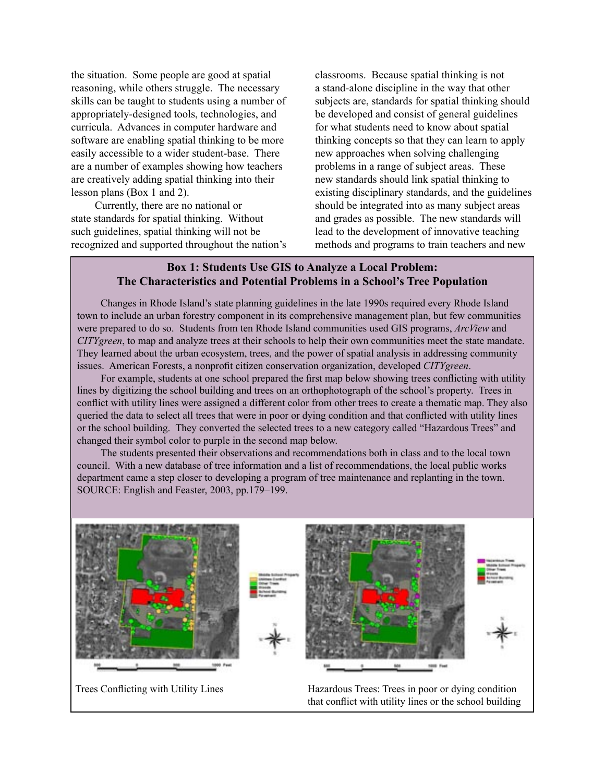the situation. Some people are good at spatial reasoning, while others struggle. The necessary skills can be taught to students using a number of appropriately-designed tools, technologies, and curricula. Advances in computer hardware and software are enabling spatial thinking to be more easily accessible to a wider student-base. There are a number of examples showing how teachers are creatively adding spatial thinking into their lesson plans (Box 1 and 2).

Currently, there are no national or state standards for spatial thinking. Without such guidelines, spatial thinking will not be recognized and supported throughout the nation's classrooms. Because spatial thinking is not a stand-alone discipline in the way that other subjects are, standards for spatial thinking should be developed and consist of general guidelines for what students need to know about spatial thinking concepts so that they can learn to apply new approaches when solving challenging problems in a range of subject areas. These new standards should link spatial thinking to existing disciplinary standards, and the guidelines should be integrated into as many subject areas and grades as possible. The new standards will lead to the development of innovative teaching methods and programs to train teachers and new

### **Box 1: Students Use GIS to Analyze a Local Problem: The Characteristics and Potential Problems in a School's Tree Population**

Changes in Rhode Island's state planning guidelines in the late 1990s required every Rhode Island town to include an urban forestry component in its comprehensive management plan, but few communities were prepared to do so. Students from ten Rhode Island communities used GIS programs, *ArcView* and *CITYgreen*, to map and analyze trees at their schools to help their own communities meet the state mandate. They learned about the urban ecosystem, trees, and the power of spatial analysis in addressing community issues. American Forests, a nonprofit citizen conservation organization, developed *CITYgreen*.

For example, students at one school prepared the first map below showing trees conflicting with utility lines by digitizing the school building and trees on an orthophotograph of the school's property. Trees in conflict with utility lines were assigned a different color from other trees to create a thematic map. They also queried the data to select all trees that were in poor or dying condition and that conflicted with utility lines or the school building. They converted the selected trees to a new category called "Hazardous Trees" and changed their symbol color to purple in the second map below.

The students presented their observations and recommendations both in class and to the local town council. With a new database of tree information and a list of recommendations, the local public works department came a step closer to developing a program of tree maintenance and replanting in the town. SOURCE: English and Feaster, 2003, pp.179–199.



Trees Conflicting with Utility Lines Hazardous Trees: Trees in poor or dying condition that conflict with utility lines or the school building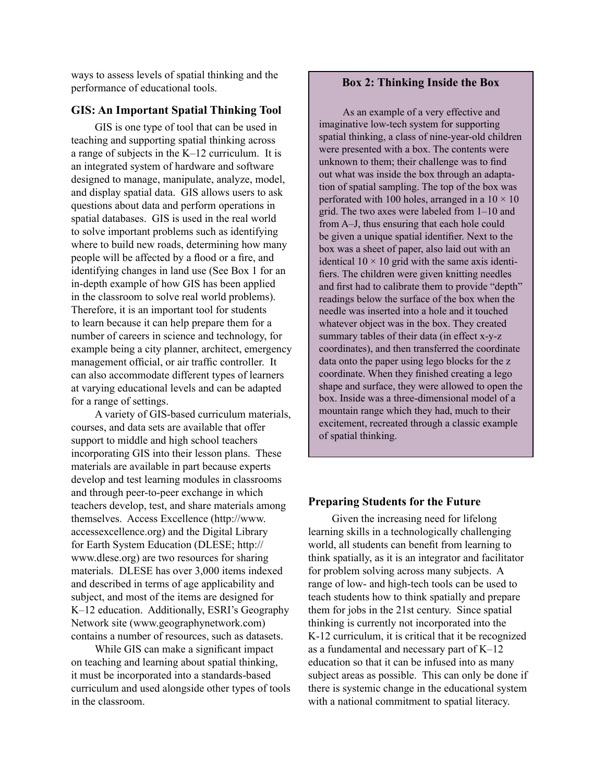ways to assess levels of spatial thinking and the performance of educational tools.

#### **GIS: An Important Spatial Thinking Tool**

GIS is one type of tool that can be used in teaching and supporting spatial thinking across a range of subjects in the K–12 curriculum. It is an integrated system of hardware and software designed to manage, manipulate, analyze, model, and display spatial data. GIS allows users to ask questions about data and perform operations in spatial databases. GIS is used in the real world to solve important problems such as identifying where to build new roads, determining how many people will be affected by a flood or a fire, and identifying changes in land use (See Box 1 for an in-depth example of how GIS has been applied in the classroom to solve real world problems). Therefore, it is an important tool for students to learn because it can help prepare them for a number of careers in science and technology, for example being a city planner, architect, emergency management official, or air traffic controller. It can also accommodate different types of learners at varying educational levels and can be adapted for a range of settings.

A variety of GIS-based curriculum materials, courses, and data sets are available that offer support to middle and high school teachers incorporating GIS into their lesson plans. These materials are available in part because experts develop and test learning modules in classrooms and through peer-to-peer exchange in which teachers develop, test, and share materials among themselves. Access Excellence (http://www. accessexcellence.org) and the Digital Library for Earth System Education (DLESE; http:// www.dlese.org) are two resources for sharing materials. DLESE has over 3,000 items indexed and described in terms of age applicability and subject, and most of the items are designed for K–12 education. Additionally, ESRI's Geography Network site (www.geographynetwork.com) contains a number of resources, such as datasets.

While GIS can make a significant impact on teaching and learning about spatial thinking, it must be incorporated into a standards-based curriculum and used alongside other types of tools in the classroom.

#### **Box 2: Thinking Inside the Box**

As an example of a very effective and imaginative low-tech system for supporting spatial thinking, a class of nine-year-old children were presented with a box. The contents were unknown to them; their challenge was to find out what was inside the box through an adaptation of spatial sampling. The top of the box was perforated with 100 holes, arranged in a  $10 \times 10$ grid. The two axes were labeled from 1–10 and from A–J, thus ensuring that each hole could be given a unique spatial identifier. Next to the box was a sheet of paper, also laid out with an identical  $10 \times 10$  grid with the same axis identifiers. The children were given knitting needles and first had to calibrate them to provide "depth" readings below the surface of the box when the needle was inserted into a hole and it touched whatever object was in the box. They created summary tables of their data (in effect x-y-z coordinates), and then transferred the coordinate data onto the paper using lego blocks for the z coordinate. When they finished creating a lego shape and surface, they were allowed to open the box. Inside was a three-dimensional model of a mountain range which they had, much to their excitement, recreated through a classic example of spatial thinking.

#### **Preparing Students for the Future**

Given the increasing need for lifelong learning skills in a technologically challenging world, all students can benefit from learning to think spatially, as it is an integrator and facilitator for problem solving across many subjects. A range of low- and high-tech tools can be used to teach students how to think spatially and prepare them for jobs in the 21st century. Since spatial thinking is currently not incorporated into the K-12 curriculum, it is critical that it be recognized as a fundamental and necessary part of K–12 education so that it can be infused into as many subject areas as possible. This can only be done if there is systemic change in the educational system with a national commitment to spatial literacy.